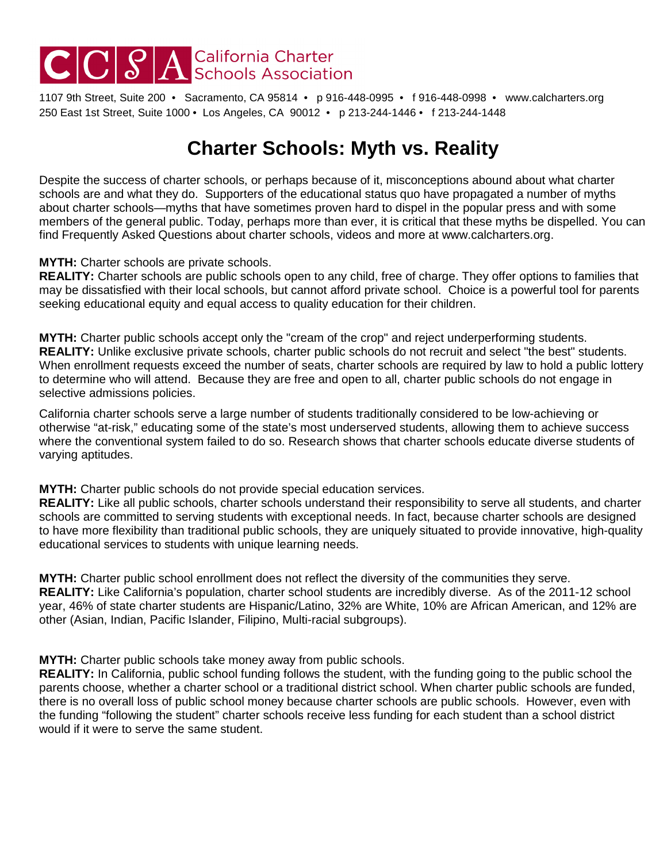# CCCSA California Charter

1107 9th Street, Suite 200 • Sacramento, CA 95814 • p 916-448-0995 • f 916-448-0998 • www.calcharters.org 250 East 1st Street, Suite 1000 • Los Angeles, CA 90012 • p 213-244-1446 • f 213-244-1448

## **Charter Schools: Myth vs. Reality**

Despite the success of charter schools, or perhaps because of it, misconceptions abound about what charter schools are and what they do. Supporters of the educational status quo have propagated a number of myths about charter schools—myths that have sometimes proven hard to dispel in the popular press and with some members of the general public. Today, perhaps more than ever, it is critical that these myths be dispelled. You can find Frequently Asked Questions about charter schools, videos and more at www.calcharters.org.

#### **MYTH:** Charter schools are private schools.

**REALITY:** Charter schools are public schools open to any child, free of charge. They offer options to families that may be dissatisfied with their local schools, but cannot afford private school. Choice is a powerful tool for parents seeking educational equity and equal access to quality education for their children.

**MYTH:** Charter public schools accept only the "cream of the crop" and reject underperforming students. **REALITY:** Unlike exclusive private schools, charter public schools do not recruit and select "the best" students. When enrollment requests exceed the number of seats, charter schools are required by law to hold a public lottery to determine who will attend. Because they are free and open to all, charter public schools do not engage in selective admissions policies.

California charter schools serve a large number of students traditionally considered to be low-achieving or otherwise "at-risk," educating some of the state's most underserved students, allowing them to achieve success where the conventional system failed to do so. Research shows that charter schools educate diverse students of varying aptitudes.

#### **MYTH:** Charter public schools do not provide special education services.

**REALITY:** Like all public schools, charter schools understand their responsibility to serve all students, and charter schools are committed to serving students with exceptional needs. In fact, because charter schools are designed to have more flexibility than traditional public schools, they are uniquely situated to provide innovative, high-quality educational services to students with unique learning needs.

**MYTH:** Charter public school enrollment does not reflect the diversity of the communities they serve. **REALITY:** Like California's population, charter school students are incredibly diverse. As of the 2011-12 school year, 46% of state charter students are Hispanic/Latino, 32% are White, 10% are African American, and 12% are other (Asian, Indian, Pacific Islander, Filipino, Multi-racial subgroups).

**MYTH:** Charter public schools take money away from public schools.

**REALITY:** In California, public school funding follows the student, with the funding going to the public school the parents choose, whether a charter school or a traditional district school. When charter public schools are funded, there is no overall loss of public school money because charter schools are public schools. However, even with the funding "following the student" charter schools receive less funding for each student than a school district would if it were to serve the same student.